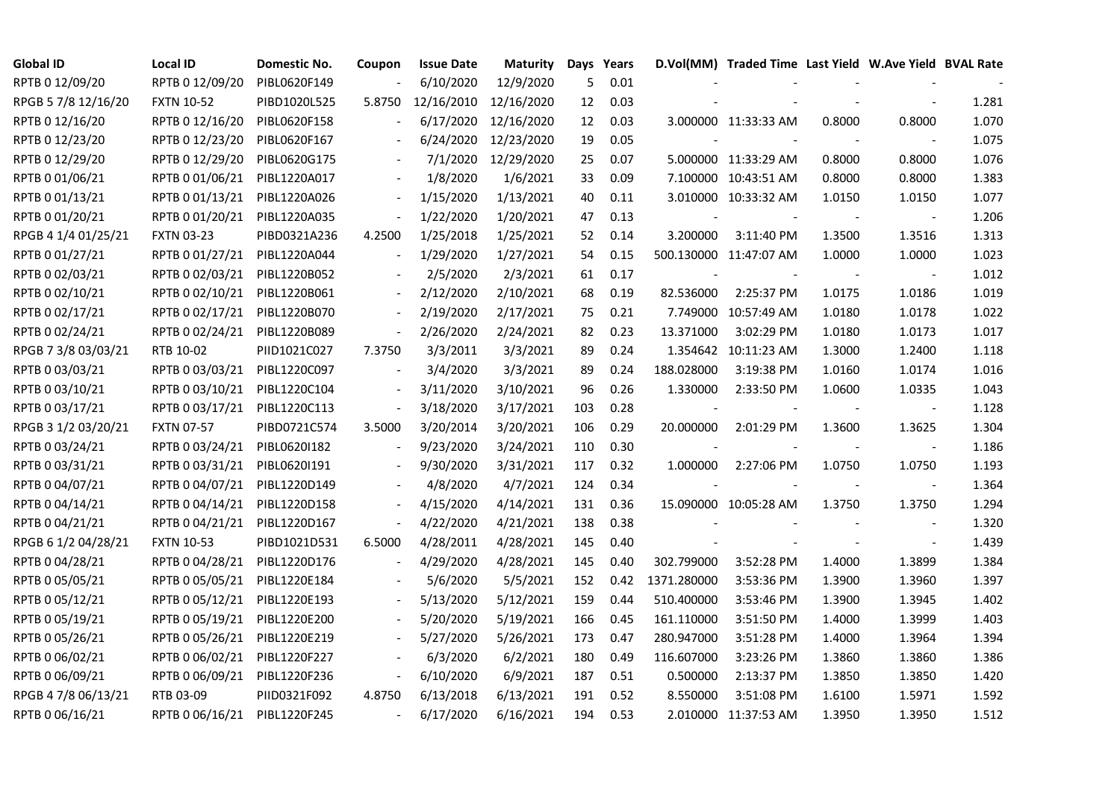| <b>Global ID</b>    | Local ID          | Domestic No. | Coupon                   | <b>Issue Date</b> | Maturity   |     | Days Years |             | D.Vol(MM) Traded Time Last Yield W.Ave Yield BVAL Rate |        |                          |       |
|---------------------|-------------------|--------------|--------------------------|-------------------|------------|-----|------------|-------------|--------------------------------------------------------|--------|--------------------------|-------|
| RPTB 0 12/09/20     | RPTB 0 12/09/20   | PIBL0620F149 |                          | 6/10/2020         | 12/9/2020  | 5   | 0.01       |             |                                                        |        |                          |       |
| RPGB 5 7/8 12/16/20 | <b>FXTN 10-52</b> | PIBD1020L525 | 5.8750                   | 12/16/2010        | 12/16/2020 | 12  | 0.03       |             |                                                        |        |                          | 1.281 |
| RPTB 0 12/16/20     | RPTB 0 12/16/20   | PIBL0620F158 |                          | 6/17/2020         | 12/16/2020 | 12  | 0.03       |             | 3.000000 11:33:33 AM                                   | 0.8000 | 0.8000                   | 1.070 |
| RPTB 0 12/23/20     | RPTB 0 12/23/20   | PIBL0620F167 |                          | 6/24/2020         | 12/23/2020 | 19  | 0.05       |             |                                                        |        |                          | 1.075 |
| RPTB 0 12/29/20     | RPTB 0 12/29/20   | PIBL0620G175 |                          | 7/1/2020          | 12/29/2020 | 25  | 0.07       |             | 5.000000 11:33:29 AM                                   | 0.8000 | 0.8000                   | 1.076 |
| RPTB 0 01/06/21     | RPTB 0 01/06/21   | PIBL1220A017 |                          | 1/8/2020          | 1/6/2021   | 33  | 0.09       |             | 7.100000 10:43:51 AM                                   | 0.8000 | 0.8000                   | 1.383 |
| RPTB 0 01/13/21     | RPTB 0 01/13/21   | PIBL1220A026 | $\blacksquare$           | 1/15/2020         | 1/13/2021  | 40  | 0.11       |             | 3.010000 10:33:32 AM                                   | 1.0150 | 1.0150                   | 1.077 |
| RPTB 0 01/20/21     | RPTB 0 01/20/21   | PIBL1220A035 | $\blacksquare$           | 1/22/2020         | 1/20/2021  | 47  | 0.13       |             |                                                        |        | $\blacksquare$           | 1.206 |
| RPGB 4 1/4 01/25/21 | <b>FXTN 03-23</b> | PIBD0321A236 | 4.2500                   | 1/25/2018         | 1/25/2021  | 52  | 0.14       | 3.200000    | 3:11:40 PM                                             | 1.3500 | 1.3516                   | 1.313 |
| RPTB 0 01/27/21     | RPTB 0 01/27/21   | PIBL1220A044 |                          | 1/29/2020         | 1/27/2021  | 54  | 0.15       |             | 500.130000 11:47:07 AM                                 | 1.0000 | 1.0000                   | 1.023 |
| RPTB 0 02/03/21     | RPTB 0 02/03/21   | PIBL1220B052 | $\overline{\phantom{a}}$ | 2/5/2020          | 2/3/2021   | 61  | 0.17       |             |                                                        |        | $\blacksquare$           | 1.012 |
| RPTB 0 02/10/21     | RPTB 0 02/10/21   | PIBL1220B061 |                          | 2/12/2020         | 2/10/2021  | 68  | 0.19       | 82.536000   | 2:25:37 PM                                             | 1.0175 | 1.0186                   | 1.019 |
| RPTB 0 02/17/21     | RPTB 0 02/17/21   | PIBL1220B070 | $\blacksquare$           | 2/19/2020         | 2/17/2021  | 75  | 0.21       |             | 7.749000 10:57:49 AM                                   | 1.0180 | 1.0178                   | 1.022 |
| RPTB 0 02/24/21     | RPTB 0 02/24/21   | PIBL1220B089 | $\blacksquare$           | 2/26/2020         | 2/24/2021  | 82  | 0.23       | 13.371000   | 3:02:29 PM                                             | 1.0180 | 1.0173                   | 1.017 |
| RPGB 7 3/8 03/03/21 | RTB 10-02         | PIID1021C027 | 7.3750                   | 3/3/2011          | 3/3/2021   | 89  | 0.24       |             | 1.354642 10:11:23 AM                                   | 1.3000 | 1.2400                   | 1.118 |
| RPTB 0 03/03/21     | RPTB 0 03/03/21   | PIBL1220C097 |                          | 3/4/2020          | 3/3/2021   | 89  | 0.24       | 188.028000  | 3:19:38 PM                                             | 1.0160 | 1.0174                   | 1.016 |
| RPTB 0 03/10/21     | RPTB 0 03/10/21   | PIBL1220C104 | $\overline{\phantom{a}}$ | 3/11/2020         | 3/10/2021  | 96  | 0.26       | 1.330000    | 2:33:50 PM                                             | 1.0600 | 1.0335                   | 1.043 |
| RPTB 0 03/17/21     | RPTB 0 03/17/21   | PIBL1220C113 | $\overline{\phantom{a}}$ | 3/18/2020         | 3/17/2021  | 103 | 0.28       |             |                                                        |        | $\blacksquare$           | 1.128 |
| RPGB 3 1/2 03/20/21 | <b>FXTN 07-57</b> | PIBD0721C574 | 3.5000                   | 3/20/2014         | 3/20/2021  | 106 | 0.29       | 20.000000   | 2:01:29 PM                                             | 1.3600 | 1.3625                   | 1.304 |
| RPTB 0 03/24/21     | RPTB 0 03/24/21   | PIBL06201182 | $\overline{\phantom{a}}$ | 9/23/2020         | 3/24/2021  | 110 | 0.30       |             |                                                        |        | $\overline{\phantom{a}}$ | 1.186 |
| RPTB 0 03/31/21     | RPTB 0 03/31/21   | PIBL0620I191 | $\blacksquare$           | 9/30/2020         | 3/31/2021  | 117 | 0.32       | 1.000000    | 2:27:06 PM                                             | 1.0750 | 1.0750                   | 1.193 |
| RPTB 0 04/07/21     | RPTB 0 04/07/21   | PIBL1220D149 |                          | 4/8/2020          | 4/7/2021   | 124 | 0.34       |             |                                                        |        | $\overline{\phantom{a}}$ | 1.364 |
| RPTB 0 04/14/21     | RPTB 0 04/14/21   | PIBL1220D158 |                          | 4/15/2020         | 4/14/2021  | 131 | 0.36       |             | 15.090000 10:05:28 AM                                  | 1.3750 | 1.3750                   | 1.294 |
| RPTB 0 04/21/21     | RPTB 0 04/21/21   | PIBL1220D167 | $\overline{\phantom{a}}$ | 4/22/2020         | 4/21/2021  | 138 | 0.38       |             |                                                        |        |                          | 1.320 |
| RPGB 6 1/2 04/28/21 | <b>FXTN 10-53</b> | PIBD1021D531 | 6.5000                   | 4/28/2011         | 4/28/2021  | 145 | 0.40       |             |                                                        |        |                          | 1.439 |
| RPTB 0 04/28/21     | RPTB 0 04/28/21   | PIBL1220D176 |                          | 4/29/2020         | 4/28/2021  | 145 | 0.40       | 302.799000  | 3:52:28 PM                                             | 1.4000 | 1.3899                   | 1.384 |
| RPTB 0 05/05/21     | RPTB 0 05/05/21   | PIBL1220E184 |                          | 5/6/2020          | 5/5/2021   | 152 | 0.42       | 1371.280000 | 3:53:36 PM                                             | 1.3900 | 1.3960                   | 1.397 |
| RPTB 0 05/12/21     | RPTB 0 05/12/21   | PIBL1220E193 |                          | 5/13/2020         | 5/12/2021  | 159 | 0.44       | 510.400000  | 3:53:46 PM                                             | 1.3900 | 1.3945                   | 1.402 |
| RPTB 0 05/19/21     | RPTB 0 05/19/21   | PIBL1220E200 |                          | 5/20/2020         | 5/19/2021  | 166 | 0.45       | 161.110000  | 3:51:50 PM                                             | 1.4000 | 1.3999                   | 1.403 |
| RPTB 0 05/26/21     | RPTB 0 05/26/21   | PIBL1220E219 |                          | 5/27/2020         | 5/26/2021  | 173 | 0.47       | 280.947000  | 3:51:28 PM                                             | 1.4000 | 1.3964                   | 1.394 |
| RPTB 0 06/02/21     | RPTB 0 06/02/21   | PIBL1220F227 |                          | 6/3/2020          | 6/2/2021   | 180 | 0.49       | 116.607000  | 3:23:26 PM                                             | 1.3860 | 1.3860                   | 1.386 |
| RPTB 0 06/09/21     | RPTB 0 06/09/21   | PIBL1220F236 | $\overline{\phantom{a}}$ | 6/10/2020         | 6/9/2021   | 187 | 0.51       | 0.500000    | 2:13:37 PM                                             | 1.3850 | 1.3850                   | 1.420 |
| RPGB 4 7/8 06/13/21 | RTB 03-09         | PIID0321F092 | 4.8750                   | 6/13/2018         | 6/13/2021  | 191 | 0.52       | 8.550000    | 3:51:08 PM                                             | 1.6100 | 1.5971                   | 1.592 |
| RPTB 0 06/16/21     | RPTB 0 06/16/21   | PIBL1220F245 | $\sim$                   | 6/17/2020         | 6/16/2021  | 194 | 0.53       |             | 2.010000 11:37:53 AM                                   | 1.3950 | 1.3950                   | 1.512 |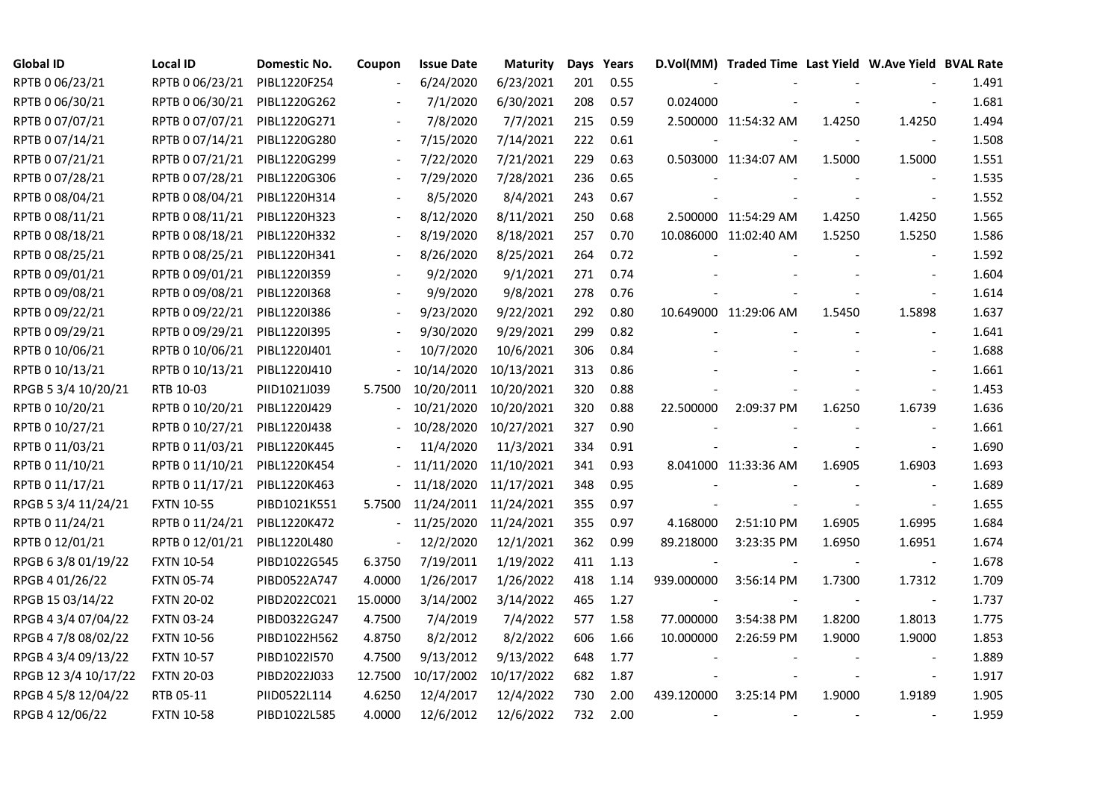| <b>Global ID</b>     | <b>Local ID</b>   | Domestic No. | Coupon                   | <b>Issue Date</b> | Maturity   |     | Days Years |            | D.Vol(MM) Traded Time Last Yield W.Ave Yield BVAL Rate |        |                          |       |
|----------------------|-------------------|--------------|--------------------------|-------------------|------------|-----|------------|------------|--------------------------------------------------------|--------|--------------------------|-------|
| RPTB 0 06/23/21      | RPTB 0 06/23/21   | PIBL1220F254 |                          | 6/24/2020         | 6/23/2021  | 201 | 0.55       |            |                                                        |        |                          | 1.491 |
| RPTB 0 06/30/21      | RPTB 0 06/30/21   | PIBL1220G262 |                          | 7/1/2020          | 6/30/2021  | 208 | 0.57       | 0.024000   |                                                        |        |                          | 1.681 |
| RPTB 0 07/07/21      | RPTB 0 07/07/21   | PIBL1220G271 |                          | 7/8/2020          | 7/7/2021   | 215 | 0.59       |            | 2.500000 11:54:32 AM                                   | 1.4250 | 1.4250                   | 1.494 |
| RPTB 0 07/14/21      | RPTB 0 07/14/21   | PIBL1220G280 | $\blacksquare$           | 7/15/2020         | 7/14/2021  | 222 | 0.61       |            |                                                        |        | $\blacksquare$           | 1.508 |
| RPTB 0 07/21/21      | RPTB 0 07/21/21   | PIBL1220G299 |                          | 7/22/2020         | 7/21/2021  | 229 | 0.63       |            | 0.503000 11:34:07 AM                                   | 1.5000 | 1.5000                   | 1.551 |
| RPTB 0 07/28/21      | RPTB 0 07/28/21   | PIBL1220G306 |                          | 7/29/2020         | 7/28/2021  | 236 | 0.65       |            |                                                        |        |                          | 1.535 |
| RPTB 0 08/04/21      | RPTB 0 08/04/21   | PIBL1220H314 |                          | 8/5/2020          | 8/4/2021   | 243 | 0.67       |            |                                                        |        | $\overline{\phantom{a}}$ | 1.552 |
| RPTB 0 08/11/21      | RPTB 0 08/11/21   | PIBL1220H323 |                          | 8/12/2020         | 8/11/2021  | 250 | 0.68       |            | 2.500000 11:54:29 AM                                   | 1.4250 | 1.4250                   | 1.565 |
| RPTB 0 08/18/21      | RPTB 0 08/18/21   | PIBL1220H332 |                          | 8/19/2020         | 8/18/2021  | 257 | 0.70       |            | 10.086000 11:02:40 AM                                  | 1.5250 | 1.5250                   | 1.586 |
| RPTB 0 08/25/21      | RPTB 0 08/25/21   | PIBL1220H341 |                          | 8/26/2020         | 8/25/2021  | 264 | 0.72       |            |                                                        |        |                          | 1.592 |
| RPTB 0 09/01/21      | RPTB 0 09/01/21   | PIBL1220I359 |                          | 9/2/2020          | 9/1/2021   | 271 | 0.74       |            |                                                        |        |                          | 1.604 |
| RPTB 0 09/08/21      | RPTB 0 09/08/21   | PIBL1220I368 |                          | 9/9/2020          | 9/8/2021   | 278 | 0.76       |            |                                                        |        |                          | 1.614 |
| RPTB 0 09/22/21      | RPTB 0 09/22/21   | PIBL1220I386 |                          | 9/23/2020         | 9/22/2021  | 292 | 0.80       |            | 10.649000 11:29:06 AM                                  | 1.5450 | 1.5898                   | 1.637 |
| RPTB 0 09/29/21      | RPTB 0 09/29/21   | PIBL1220I395 |                          | 9/30/2020         | 9/29/2021  | 299 | 0.82       |            |                                                        |        | $\blacksquare$           | 1.641 |
| RPTB 0 10/06/21      | RPTB 0 10/06/21   | PIBL1220J401 |                          | 10/7/2020         | 10/6/2021  | 306 | 0.84       |            |                                                        |        |                          | 1.688 |
| RPTB 0 10/13/21      | RPTB 0 10/13/21   | PIBL1220J410 |                          | 10/14/2020        | 10/13/2021 | 313 | 0.86       |            |                                                        |        |                          | 1.661 |
| RPGB 5 3/4 10/20/21  | RTB 10-03         | PIID1021J039 | 5.7500                   | 10/20/2011        | 10/20/2021 | 320 | 0.88       |            |                                                        |        |                          | 1.453 |
| RPTB 0 10/20/21      | RPTB 0 10/20/21   | PIBL1220J429 |                          | 10/21/2020        | 10/20/2021 | 320 | 0.88       | 22.500000  | 2:09:37 PM                                             | 1.6250 | 1.6739                   | 1.636 |
| RPTB 0 10/27/21      | RPTB 0 10/27/21   | PIBL1220J438 |                          | 10/28/2020        | 10/27/2021 | 327 | 0.90       |            |                                                        |        |                          | 1.661 |
| RPTB 0 11/03/21      | RPTB 0 11/03/21   | PIBL1220K445 |                          | 11/4/2020         | 11/3/2021  | 334 | 0.91       |            |                                                        |        | $\blacksquare$           | 1.690 |
| RPTB 0 11/10/21      | RPTB 0 11/10/21   | PIBL1220K454 |                          | 11/11/2020        | 11/10/2021 | 341 | 0.93       |            | 8.041000 11:33:36 AM                                   | 1.6905 | 1.6903                   | 1.693 |
| RPTB 0 11/17/21      | RPTB 0 11/17/21   | PIBL1220K463 |                          | 11/18/2020        | 11/17/2021 | 348 | 0.95       |            |                                                        |        |                          | 1.689 |
| RPGB 5 3/4 11/24/21  | <b>FXTN 10-55</b> | PIBD1021K551 | 5.7500                   | 11/24/2011        | 11/24/2021 | 355 | 0.97       |            |                                                        |        |                          | 1.655 |
| RPTB 0 11/24/21      | RPTB 0 11/24/21   | PIBL1220K472 |                          | 11/25/2020        | 11/24/2021 | 355 | 0.97       | 4.168000   | 2:51:10 PM                                             | 1.6905 | 1.6995                   | 1.684 |
| RPTB 0 12/01/21      | RPTB 0 12/01/21   | PIBL1220L480 | $\overline{\phantom{a}}$ | 12/2/2020         | 12/1/2021  | 362 | 0.99       | 89.218000  | 3:23:35 PM                                             | 1.6950 | 1.6951                   | 1.674 |
| RPGB 63/8 01/19/22   | <b>FXTN 10-54</b> | PIBD1022G545 | 6.3750                   | 7/19/2011         | 1/19/2022  | 411 | 1.13       |            |                                                        |        | $\sim$                   | 1.678 |
| RPGB 4 01/26/22      | <b>FXTN 05-74</b> | PIBD0522A747 | 4.0000                   | 1/26/2017         | 1/26/2022  | 418 | 1.14       | 939.000000 | 3:56:14 PM                                             | 1.7300 | 1.7312                   | 1.709 |
| RPGB 15 03/14/22     | <b>FXTN 20-02</b> | PIBD2022C021 | 15.0000                  | 3/14/2002         | 3/14/2022  | 465 | 1.27       |            |                                                        |        | $\blacksquare$           | 1.737 |
| RPGB 4 3/4 07/04/22  | <b>FXTN 03-24</b> | PIBD0322G247 | 4.7500                   | 7/4/2019          | 7/4/2022   | 577 | 1.58       | 77.000000  | 3:54:38 PM                                             | 1.8200 | 1.8013                   | 1.775 |
| RPGB 4 7/8 08/02/22  | <b>FXTN 10-56</b> | PIBD1022H562 | 4.8750                   | 8/2/2012          | 8/2/2022   | 606 | 1.66       | 10.000000  | 2:26:59 PM                                             | 1.9000 | 1.9000                   | 1.853 |
| RPGB 4 3/4 09/13/22  | <b>FXTN 10-57</b> | PIBD1022I570 | 4.7500                   | 9/13/2012         | 9/13/2022  | 648 | 1.77       |            |                                                        |        |                          | 1.889 |
| RPGB 12 3/4 10/17/22 | <b>FXTN 20-03</b> | PIBD2022J033 | 12.7500                  | 10/17/2002        | 10/17/2022 | 682 | 1.87       |            |                                                        |        | $\overline{\phantom{a}}$ | 1.917 |
| RPGB 4 5/8 12/04/22  | RTB 05-11         | PIID0522L114 | 4.6250                   | 12/4/2017         | 12/4/2022  | 730 | 2.00       | 439.120000 | 3:25:14 PM                                             | 1.9000 | 1.9189                   | 1.905 |
| RPGB 4 12/06/22      | FXTN 10-58        | PIBD1022L585 | 4.0000                   | 12/6/2012         | 12/6/2022  | 732 | 2.00       |            |                                                        |        |                          | 1.959 |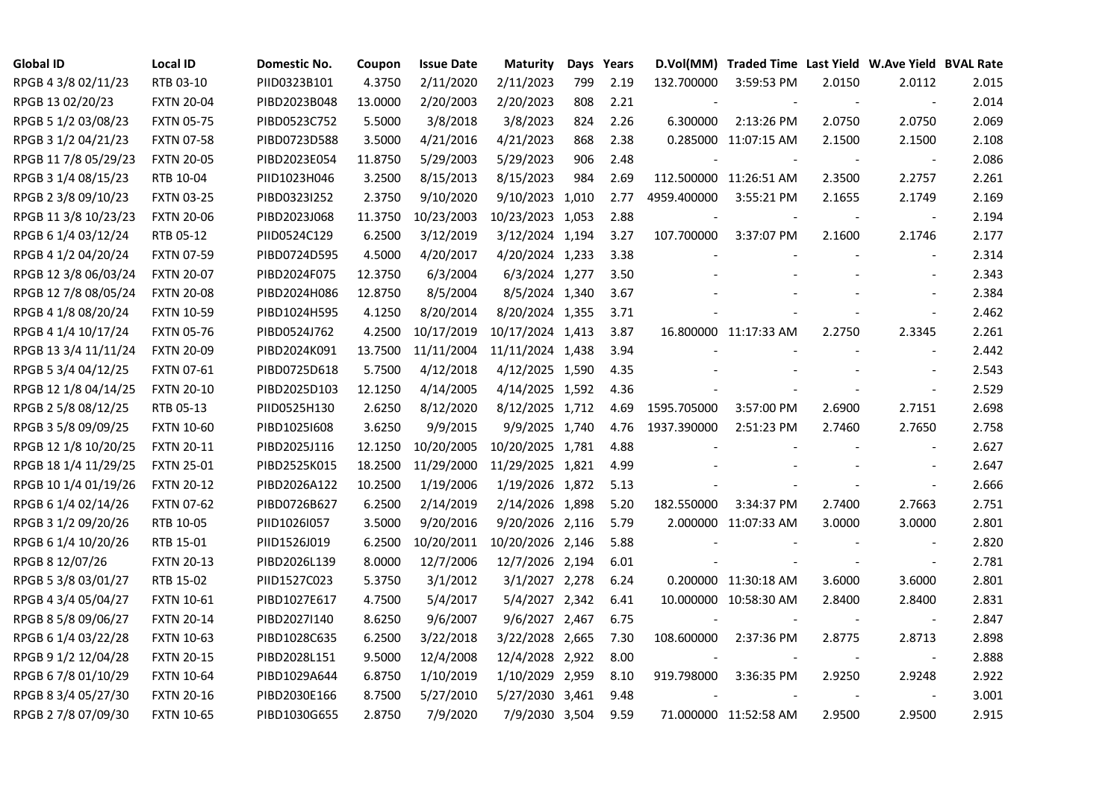| <b>Global ID</b>     | <b>Local ID</b>   | Domestic No. | Coupon  | <b>Issue Date</b> | <b>Maturity</b>  |     | Days Years |             | D.Vol(MM) Traded Time Last Yield W.Ave Yield BVAL Rate |        |                          |       |
|----------------------|-------------------|--------------|---------|-------------------|------------------|-----|------------|-------------|--------------------------------------------------------|--------|--------------------------|-------|
| RPGB 4 3/8 02/11/23  | RTB 03-10         | PIID0323B101 | 4.3750  | 2/11/2020         | 2/11/2023        | 799 | 2.19       | 132.700000  | 3:59:53 PM                                             | 2.0150 | 2.0112                   | 2.015 |
| RPGB 13 02/20/23     | <b>FXTN 20-04</b> | PIBD2023B048 | 13.0000 | 2/20/2003         | 2/20/2023        | 808 | 2.21       |             |                                                        |        | $\sim$                   | 2.014 |
| RPGB 5 1/2 03/08/23  | <b>FXTN 05-75</b> | PIBD0523C752 | 5.5000  | 3/8/2018          | 3/8/2023         | 824 | 2.26       | 6.300000    | 2:13:26 PM                                             | 2.0750 | 2.0750                   | 2.069 |
| RPGB 3 1/2 04/21/23  | <b>FXTN 07-58</b> | PIBD0723D588 | 3.5000  | 4/21/2016         | 4/21/2023        | 868 | 2.38       |             | 0.285000 11:07:15 AM                                   | 2.1500 | 2.1500                   | 2.108 |
| RPGB 11 7/8 05/29/23 | <b>FXTN 20-05</b> | PIBD2023E054 | 11.8750 | 5/29/2003         | 5/29/2023        | 906 | 2.48       |             |                                                        |        | $\overline{\phantom{a}}$ | 2.086 |
| RPGB 3 1/4 08/15/23  | RTB 10-04         | PIID1023H046 | 3.2500  | 8/15/2013         | 8/15/2023        | 984 | 2.69       |             | 112.500000 11:26:51 AM                                 | 2.3500 | 2.2757                   | 2.261 |
| RPGB 2 3/8 09/10/23  | <b>FXTN 03-25</b> | PIBD0323I252 | 2.3750  | 9/10/2020         | 9/10/2023 1,010  |     | 2.77       | 4959.400000 | 3:55:21 PM                                             | 2.1655 | 2.1749                   | 2.169 |
| RPGB 11 3/8 10/23/23 | <b>FXTN 20-06</b> | PIBD2023J068 | 11.3750 | 10/23/2003        | 10/23/2023 1,053 |     | 2.88       |             |                                                        |        | $\overline{\phantom{a}}$ | 2.194 |
| RPGB 6 1/4 03/12/24  | RTB 05-12         | PIID0524C129 | 6.2500  | 3/12/2019         | 3/12/2024 1,194  |     | 3.27       | 107.700000  | 3:37:07 PM                                             | 2.1600 | 2.1746                   | 2.177 |
| RPGB 4 1/2 04/20/24  | <b>FXTN 07-59</b> | PIBD0724D595 | 4.5000  | 4/20/2017         | 4/20/2024 1,233  |     | 3.38       |             |                                                        |        | $\overline{\phantom{a}}$ | 2.314 |
| RPGB 12 3/8 06/03/24 | <b>FXTN 20-07</b> | PIBD2024F075 | 12.3750 | 6/3/2004          | 6/3/2024 1,277   |     | 3.50       |             |                                                        |        |                          | 2.343 |
| RPGB 12 7/8 08/05/24 | <b>FXTN 20-08</b> | PIBD2024H086 | 12.8750 | 8/5/2004          | 8/5/2024 1,340   |     | 3.67       |             |                                                        |        |                          | 2.384 |
| RPGB 4 1/8 08/20/24  | <b>FXTN 10-59</b> | PIBD1024H595 | 4.1250  | 8/20/2014         | 8/20/2024 1,355  |     | 3.71       |             |                                                        |        | $\blacksquare$           | 2.462 |
| RPGB 4 1/4 10/17/24  | <b>FXTN 05-76</b> | PIBD0524J762 | 4.2500  | 10/17/2019        | 10/17/2024 1,413 |     | 3.87       |             | 16.800000 11:17:33 AM                                  | 2.2750 | 2.3345                   | 2.261 |
| RPGB 13 3/4 11/11/24 | <b>FXTN 20-09</b> | PIBD2024K091 | 13.7500 | 11/11/2004        | 11/11/2024 1,438 |     | 3.94       |             |                                                        |        | $\sim$                   | 2.442 |
| RPGB 5 3/4 04/12/25  | <b>FXTN 07-61</b> | PIBD0725D618 | 5.7500  | 4/12/2018         | 4/12/2025 1,590  |     | 4.35       |             |                                                        |        |                          | 2.543 |
| RPGB 12 1/8 04/14/25 | <b>FXTN 20-10</b> | PIBD2025D103 | 12.1250 | 4/14/2005         | 4/14/2025 1,592  |     | 4.36       |             |                                                        |        | $\overline{\phantom{a}}$ | 2.529 |
| RPGB 2 5/8 08/12/25  | RTB 05-13         | PIID0525H130 | 2.6250  | 8/12/2020         | 8/12/2025 1,712  |     | 4.69       | 1595.705000 | 3:57:00 PM                                             | 2.6900 | 2.7151                   | 2.698 |
| RPGB 3 5/8 09/09/25  | <b>FXTN 10-60</b> | PIBD10251608 | 3.6250  | 9/9/2015          | 9/9/2025 1,740   |     | 4.76       | 1937.390000 | 2:51:23 PM                                             | 2.7460 | 2.7650                   | 2.758 |
| RPGB 12 1/8 10/20/25 | <b>FXTN 20-11</b> | PIBD2025J116 | 12.1250 | 10/20/2005        | 10/20/2025 1,781 |     | 4.88       |             |                                                        |        | $\overline{\phantom{a}}$ | 2.627 |
| RPGB 18 1/4 11/29/25 | <b>FXTN 25-01</b> | PIBD2525K015 | 18.2500 | 11/29/2000        | 11/29/2025 1,821 |     | 4.99       |             |                                                        |        | $\sim$                   | 2.647 |
| RPGB 10 1/4 01/19/26 | <b>FXTN 20-12</b> | PIBD2026A122 | 10.2500 | 1/19/2006         | 1/19/2026 1,872  |     | 5.13       |             |                                                        |        | $\blacksquare$           | 2.666 |
| RPGB 6 1/4 02/14/26  | <b>FXTN 07-62</b> | PIBD0726B627 | 6.2500  | 2/14/2019         | 2/14/2026 1,898  |     | 5.20       | 182.550000  | 3:34:37 PM                                             | 2.7400 | 2.7663                   | 2.751 |
| RPGB 3 1/2 09/20/26  | RTB 10-05         | PIID1026I057 | 3.5000  | 9/20/2016         | 9/20/2026 2,116  |     | 5.79       |             | 2.000000 11:07:33 AM                                   | 3.0000 | 3.0000                   | 2.801 |
| RPGB 6 1/4 10/20/26  | RTB 15-01         | PIID1526J019 | 6.2500  | 10/20/2011        | 10/20/2026 2,146 |     | 5.88       |             |                                                        |        | $\overline{\phantom{a}}$ | 2.820 |
| RPGB 8 12/07/26      | <b>FXTN 20-13</b> | PIBD2026L139 | 8.0000  | 12/7/2006         | 12/7/2026 2,194  |     | 6.01       |             |                                                        |        | $\overline{\phantom{a}}$ | 2.781 |
| RPGB 5 3/8 03/01/27  | RTB 15-02         | PIID1527C023 | 5.3750  | 3/1/2012          | 3/1/2027 2,278   |     | 6.24       |             | 0.200000 11:30:18 AM                                   | 3.6000 | 3.6000                   | 2.801 |
| RPGB 4 3/4 05/04/27  | <b>FXTN 10-61</b> | PIBD1027E617 | 4.7500  | 5/4/2017          | 5/4/2027 2,342   |     | 6.41       |             | 10.000000 10:58:30 AM                                  | 2.8400 | 2.8400                   | 2.831 |
| RPGB 8 5/8 09/06/27  | <b>FXTN 20-14</b> | PIBD2027I140 | 8.6250  | 9/6/2007          | 9/6/2027 2,467   |     | 6.75       |             |                                                        |        | $\overline{\phantom{a}}$ | 2.847 |
| RPGB 6 1/4 03/22/28  | <b>FXTN 10-63</b> | PIBD1028C635 | 6.2500  | 3/22/2018         | 3/22/2028 2,665  |     | 7.30       | 108.600000  | 2:37:36 PM                                             | 2.8775 | 2.8713                   | 2.898 |
| RPGB 9 1/2 12/04/28  | <b>FXTN 20-15</b> | PIBD2028L151 | 9.5000  | 12/4/2008         | 12/4/2028 2,922  |     | 8.00       |             |                                                        |        | $\blacksquare$           | 2.888 |
| RPGB 67/8 01/10/29   | <b>FXTN 10-64</b> | PIBD1029A644 | 6.8750  | 1/10/2019         | 1/10/2029 2,959  |     | 8.10       | 919.798000  | 3:36:35 PM                                             | 2.9250 | 2.9248                   | 2.922 |
| RPGB 8 3/4 05/27/30  | <b>FXTN 20-16</b> | PIBD2030E166 | 8.7500  | 5/27/2010         | 5/27/2030 3,461  |     | 9.48       |             |                                                        |        | $\blacksquare$           | 3.001 |
| RPGB 2 7/8 07/09/30  | <b>FXTN 10-65</b> | PIBD1030G655 | 2.8750  | 7/9/2020          | 7/9/2030 3,504   |     | 9.59       |             | 71.000000 11:52:58 AM                                  | 2.9500 | 2.9500                   | 2.915 |